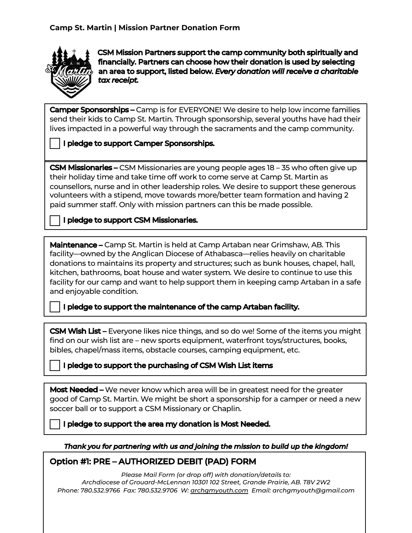

1

CSM Mission Partners support the camp community both spiritually and financially. Partners can choose how their donation is used by selecting an area to support, listed below. *Every donation will receive a charitable tax receipt.*

**Camper Sponsorships –** Camp is for EVERYONE! We desire to help low income families send their kids to Camp St. Martin. Through sponsorship, several youths have had their lives impacted in a powerful way through the sacraments and the camp community.

## I pledge to support Camper Sponsorships.

**CSM Missionaries –** CSM Missionaries are young people ages 18 – 35 who often give up their holiday time and take time off work to come serve at Camp St. Martin as counsellors, nurse and in other leadership roles. We desire to support these generous volunteers with a stipend, move towards more/better team formation and having 2 paid summer staff. Only with mission partners can this be made possible.

I pledge to support CSM Missionaries.

**Maintenance –** Camp St. Martin is held at Camp Artaban near Grimshaw, AB. This facility—owned by the Anglican Diocese of Athabasca—relies heavily on charitable donations to maintains its property and structures; such as bunk houses, chapel, hall, kitchen, bathrooms, boat house and water system. We desire to continue to use this facility for our camp and want to help support them in keeping camp Artaban in a safe and enjoyable condition.

I pledge to support the maintenance of the camp Artaban facility.

**CSM Wish List –** Everyone likes nice things, and so do we! Some of the items you might find on our wish list are – new sports equipment, waterfront toys/structures, books, bibles, chapel/mass items, obstacle courses, camping equipment, etc.

I pledge to support the purchasing of CSM Wish List items

Most Needed – We never know which area will be in greatest need for the greater good of Camp St. Martin. We might be short a sponsorship for a camper or need a new soccer ball or to support a CSM Missionary or Chaplin.

I pledge to support the area my donation is Most Needed.

## *Thank you for partnering with us and joining the mission to build up the kingdom!*

## Option #1: PRE – AUTHORIZED DEBIT (PAD) FORM

*Please Mail Form (or drop off) with donation/details to: Archdiocese of Grouard-McLennan 10301 102 Street, Grande Prairie, AB. T8V 2W2 Phone: 780.532.9766 Fax: 780.532.9706 W: archgmyouth.com Email: archgmyouth@gmail.com*